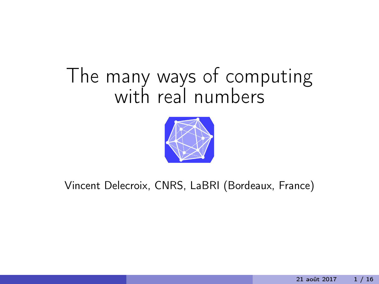# The many ways of computing with real numbers



#### Vincent Delecroix, CNRS, LaBRI (Bordeaux, France)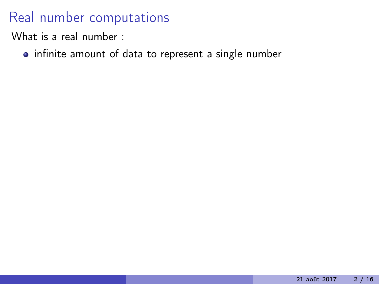What is a real number :

• infinite amount of data to represent a single number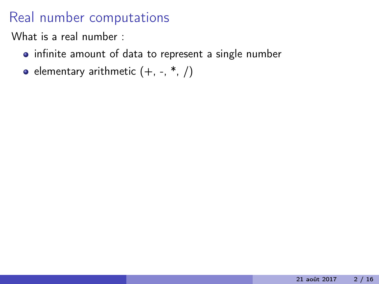- infinite amount of data to represent a single number
- elementary arithmetic  $(+, -, *, /)$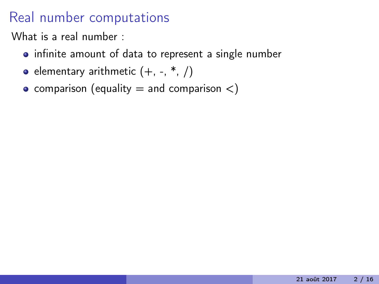- infinite amount of data to represent a single number
- elementary arithmetic  $(+, -, *, /)$
- comparison (equality  $=$  and comparison  $\lt$ )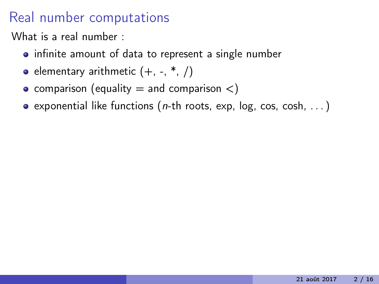- infinite amount of data to represent a single number
- elementary arithmetic  $(+, -, *, /)$
- comparison (equality  $=$  and comparison  $\lt$ )
- **exponential like functions (n-th roots, exp, log, cos, cosh, ...)**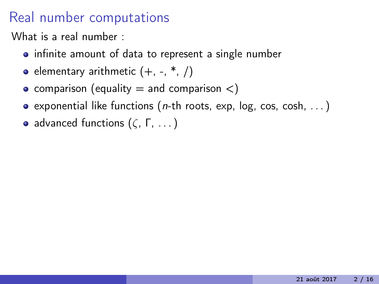- infinite amount of data to represent a single number
- elementary arithmetic  $(+, -, *, /)$
- comparison (equality  $=$  and comparison  $\lt$ )
- exponential like functions ( $n$ -th roots, exp, log, cos, cosh, ...)
- advanced functions  $(\zeta, \Gamma, \dots)$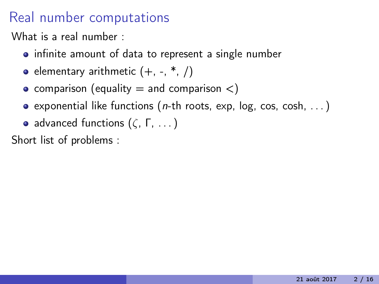What is a real number :

- infinite amount of data to represent a single number
- elementary arithmetic  $(+, -, *, /)$
- comparison (equality  $=$  and comparison  $\lt$ )
- exponential like functions ( $n$ -th roots, exp, log, cos, cosh, ...)
- advanced functions  $(\zeta, \Gamma, \dots)$

Short list of problems :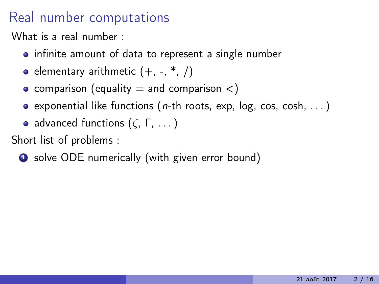What is a real number :

- infinite amount of data to represent a single number
- elementary arithmetic  $(+, -, *, /)$
- comparison (equality  $=$  and comparison  $\lt$ )
- **exponential like functions (n-th roots, exp, log, cos, cosh, ...)**
- advanced functions  $(\zeta, \Gamma, \dots)$

Short list of problems :

**1** solve ODE numerically (with given error bound)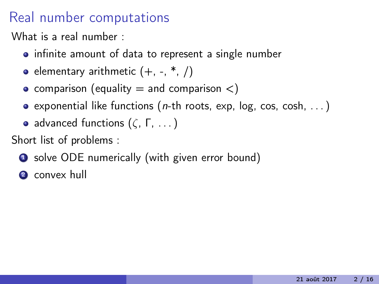What is a real number :

- infinite amount of data to represent a single number
- elementary arithmetic  $(+, -, *, /)$
- comparison (equality  $=$  and comparison  $\lt$ )
- exponential like functions (*n*-th roots, exp, log, cos, cosh,  $\dots$ )
- advanced functions  $(\zeta, \Gamma, \dots)$

Short list of problems :

**1** solve ODE numerically (with given error bound)

**2** convex hull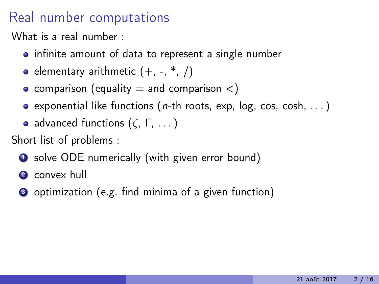What is a real number :

- infinite amount of data to represent a single number
- elementary arithmetic  $(+, -, *, /)$
- comparison (equality  $=$  and comparison  $\lt$ )
- exponential like functions (*n*-th roots, exp, log, cos, cosh,  $\dots$ )
- advanced functions  $(\zeta, \Gamma, \dots)$

Short list of problems :

**1** solve ODE numerically (with given error bound)

2 convex hull

<sup>3</sup> optimization (e.g. find minima of a given function)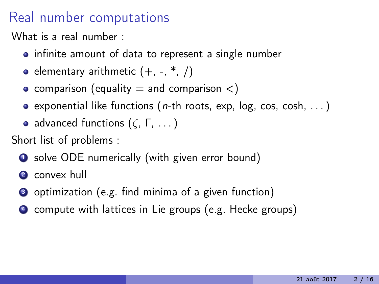What is a real number :

- infinite amount of data to represent a single number
- elementary arithmetic  $(+, -, *, /)$
- comparison (equality  $=$  and comparison  $\lt$ )
- exponential like functions (*n*-th roots, exp, log, cos, cosh,  $\dots$ )
- advanced functions  $(\zeta, \Gamma, \dots)$

Short list of problems :

**1** solve ODE numerically (with given error bound)

**2** convex hull

- <sup>3</sup> optimization (e.g. find minima of a given function)
- <sup>4</sup> compute with lattices in Lie groups (e.g. Hecke groups)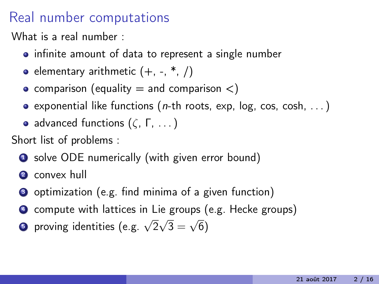What is a real number :

- infinite amount of data to represent a single number
- elementary arithmetic  $(+, -, *, /)$
- comparison (equality  $=$  and comparison  $\lt$ )
- exponential like functions (*n*-th roots, exp, log, cos, cosh,  $\dots$ )
- advanced functions  $(\zeta, \Gamma, \dots)$

Short list of problems :

- **1** solve ODE numerically (with given error bound)
- **2** convex hull
- <sup>3</sup> optimization (e.g. find minima of a given function)
- <sup>4</sup> compute with lattices in Lie groups (e.g. Hecke groups)
- $\bullet$  proving identities (e.g.  $\sqrt{2}$ √  $3 =$ √ 6)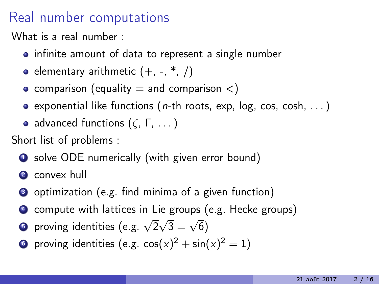What is a real number :

- infinite amount of data to represent a single number
- elementary arithmetic  $(+, -, *, /)$
- comparison (equality  $=$  and comparison  $\lt$ )
- exponential like functions (*n*-th roots, exp, log, cos, cosh,  $\dots$ )
- advanced functions  $(\zeta, \Gamma, \dots)$

Short list of problems :

- **1** solve ODE numerically (with given error bound)
- **2** convex hull
- <sup>3</sup> optimization (e.g. find minima of a given function)
- <sup>4</sup> compute with lattices in Lie groups (e.g. Hecke groups)
- $\bullet$  proving identities (e.g.  $\sqrt{2}$ √  $3 =$ √ 6)
- $\bullet$  proving identities (e.g. cos $(x)^2 + \sin(x)^2 = 1$ )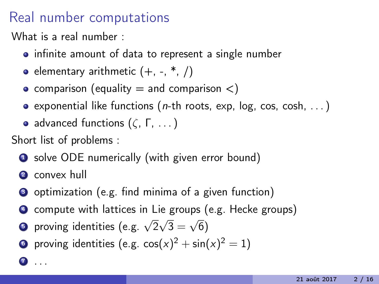What is a real number :

- infinite amount of data to represent a single number
- elementary arithmetic  $(+, -, *, /)$
- comparison (equality  $=$  and comparison  $\lt$ )
- exponential like functions (*n*-th roots, exp, log, cos, cosh,  $\dots$ )
- advanced functions  $(\zeta, \Gamma, \dots)$

Short list of problems :

- **1** solve ODE numerically (with given error bound)
- **2** convex hull

 $\bullet$  . . .

- <sup>3</sup> optimization (e.g. find minima of a given function)
- <sup>4</sup> compute with lattices in Lie groups (e.g. Hecke groups)
- $\bullet$  proving identities (e.g.  $\sqrt{2}$ √  $3 =$ √ 6)
- $\bullet$  proving identities (e.g. cos $(x)^2 + \sin(x)^2 = 1$ )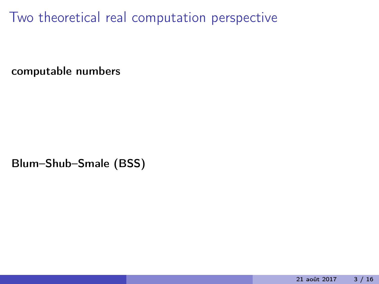computable numbers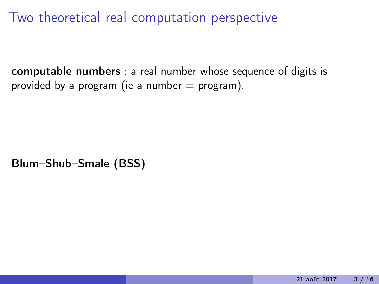computable numbers : a real number whose sequence of digits is provided by a program (ie a number  $=$  program).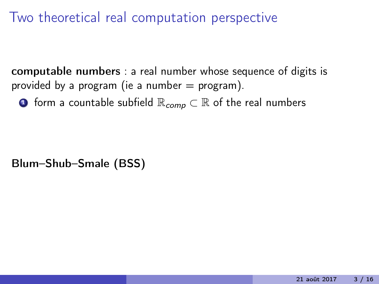computable numbers : a real number whose sequence of digits is provided by a program (ie a number  $=$  program).

**■** form a countable subfield  $\mathbb{R}_{comp} \subset \mathbb{R}$  of the real numbers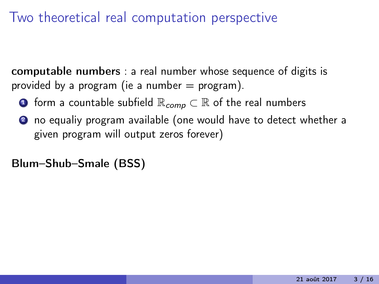computable numbers : a real number whose sequence of digits is provided by a program (ie a number  $=$  program).

- **■** form a countable subfield  $\mathbb{R}_{comp} \subset \mathbb{R}$  of the real numbers
- 2 no equaliy program available (one would have to detect whether a given program will output zeros forever)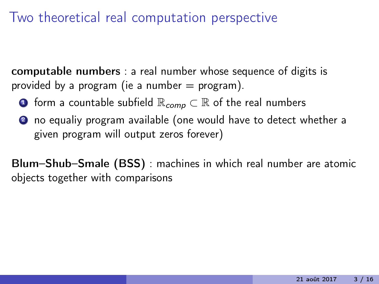computable numbers : a real number whose sequence of digits is provided by a program (ie a number  $=$  program).

- **■** form a countable subfield  $\mathbb{R}_{comp} \subset \mathbb{R}$  of the real numbers
- 2 no equaliy program available (one would have to detect whether a given program will output zeros forever)

Blum–Shub–Smale (BSS) : machines in which real number are atomic objects together with comparisons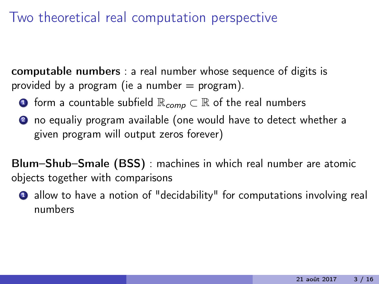computable numbers : a real number whose sequence of digits is provided by a program (ie a number  $=$  program).

- **■** form a countable subfield  $\mathbb{R}_{comp} \subset \mathbb{R}$  of the real numbers
- 2 no equaliy program available (one would have to detect whether a given program will output zeros forever)

Blum–Shub–Smale (BSS) : machines in which real number are atomic objects together with comparisons

**1** allow to have a notion of "decidability" for computations involving real numbers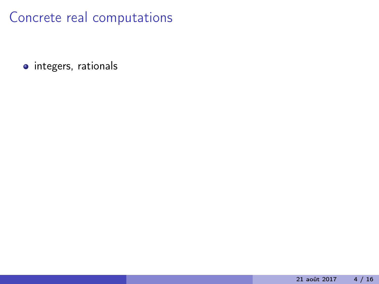• integers, rationals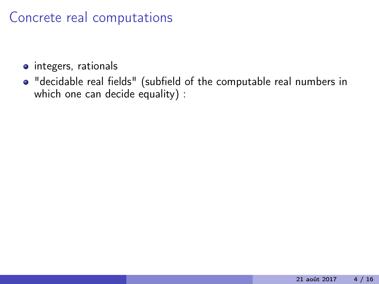- o integers, rationals
- "decidable real fields" (subfield of the computable real numbers in which one can decide equality) :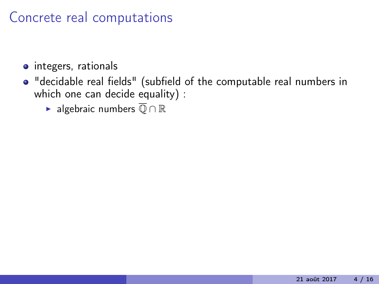- **o** integers, rationals
- "decidable real fields" (subfield of the computable real numbers in which one can decide equality) :
	- ► algebraic numbers  $\overline{⑤} \cap \mathbb{R}$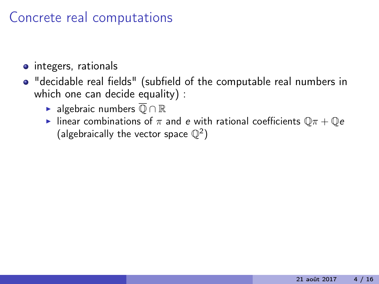- **o** integers, rationals
- "decidable real fields" (subfield of the computable real numbers in which one can decide equality) :
	- ► algebraic numbers  $\overline{⑤} \cap \mathbb{R}$
	- Inear combinations of  $\pi$  and e with rational coefficients  $\mathbb{Q}\pi + \mathbb{Q}e$ (algebraically the vector space  $\mathbb{Q}^2$ )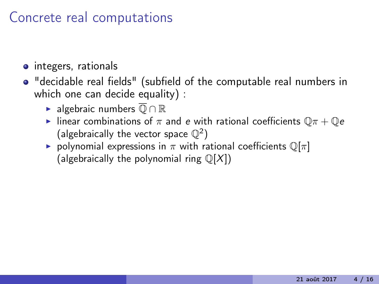- **o** integers, rationals
- "decidable real fields" (subfield of the computable real numbers in which one can decide equality) :
	- ► algebraic numbers  $\overline{⑤} \cap \mathbb{R}$
	- Inear combinations of  $\pi$  and e with rational coefficients  $\mathbb{Q}\pi + \mathbb{Q}e$ (algebraically the vector space  $\mathbb{Q}^2$ )
	- polynomial expressions in  $\pi$  with rational coefficients  $\mathbb{Q}[\pi]$ (algebraically the polynomial ring  $\mathbb{Q}[X]$ )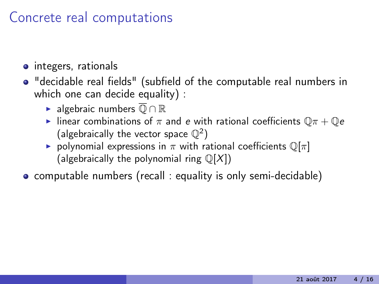- **o** integers, rationals
- "decidable real fields" (subfield of the computable real numbers in which one can decide equality) :
	- ► algebraic numbers  $\overline{⑤} \cap \mathbb{R}$
	- Inear combinations of  $\pi$  and e with rational coefficients  $\mathbb{Q}\pi + \mathbb{Q}e$ (algebraically the vector space  $\mathbb{Q}^2$ )
	- polynomial expressions in  $\pi$  with rational coefficients  $\mathbb{Q}[\pi]$ (algebraically the polynomial ring  $\mathbb{Q}[X]$ )
- computable numbers (recall : equality is only semi-decidable)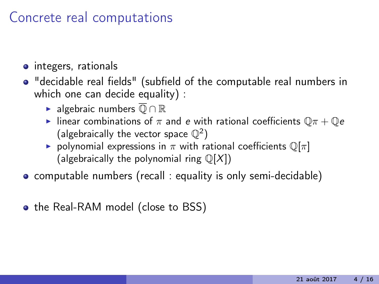- **o** integers, rationals
- "decidable real fields" (subfield of the computable real numbers in which one can decide equality) :
	- ► algebraic numbers  $\overline{①} \cap \mathbb{R}$
	- Inear combinations of  $\pi$  and e with rational coefficients  $\mathbb{Q}\pi + \mathbb{Q}e$ (algebraically the vector space  $\mathbb{Q}^2$ )
	- polynomial expressions in  $\pi$  with rational coefficients  $\mathbb{Q}[\pi]$ (algebraically the polynomial ring  $\mathbb{Q}[X]$ )
- computable numbers (recall : equality is only semi-decidable)
- the Real-RAM model (close to BSS)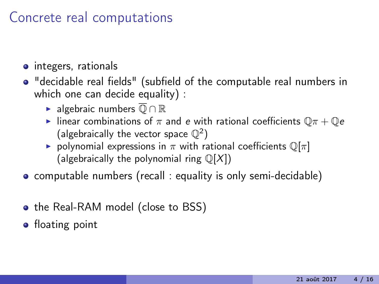- **o** integers, rationals
- "decidable real fields" (subfield of the computable real numbers in which one can decide equality) :
	- ► algebraic numbers  $\overline{①} \cap \mathbb{R}$
	- Inear combinations of  $\pi$  and e with rational coefficients  $\mathbb{Q}\pi + \mathbb{Q}e$ (algebraically the vector space  $\mathbb{Q}^2$ )
	- polynomial expressions in  $\pi$  with rational coefficients  $\mathbb{Q}[\pi]$ (algebraically the polynomial ring  $\mathbb{Q}[X]$ )
- computable numbers (recall : equality is only semi-decidable)
- the Real-RAM model (close to BSS)
- **•** floating point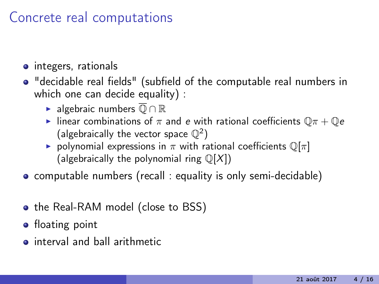- **o** integers, rationals
- "decidable real fields" (subfield of the computable real numbers in which one can decide equality) :
	- ► algebraic numbers  $\overline{①} \cap \mathbb{R}$
	- Inear combinations of  $\pi$  and e with rational coefficients  $\mathbb{Q}\pi + \mathbb{Q}e$ (algebraically the vector space  $\mathbb{Q}^2$ )
	- polynomial expressions in  $\pi$  with rational coefficients  $\mathbb{Q}[\pi]$ (algebraically the polynomial ring  $\mathbb{Q}[X]$ )
- computable numbers (recall : equality is only semi-decidable)
- the Real-RAM model (close to BSS)
- **•** floating point
- **o** interval and hall arithmetic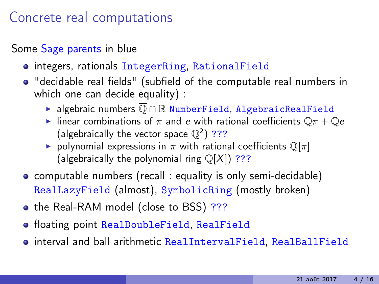Some Sage parents in blue

- o integers, rationals IntegerRing, RationalField
- "decidable real fields" (subfield of the computable real numbers in which one can decide equality) :
	- **>** algebraic numbers  $\overline{①} \cap \mathbb{R}$  NumberField, AlgebraicRealField
	- Inear combinations of  $\pi$  and e with rational coefficients  $\mathbb{O}(\pi + \mathbb{O}e)$ (algebraically the vector space  $\mathbb{Q}^2$ ) ???
	- polynomial expressions in  $\pi$  with rational coefficients  $\mathbb{Q}[\pi]$ (algebraically the polynomial ring  $\mathbb{Q}[X]$ ) ???
- computable numbers (recall : equality is only semi-decidable) RealLazyField (almost), SymbolicRing (mostly broken)
- the Real-RAM model (close to BSS) ???
- **floating point RealDoubleField, RealField**
- interval and ball arithmetic RealIntervalField, RealBallField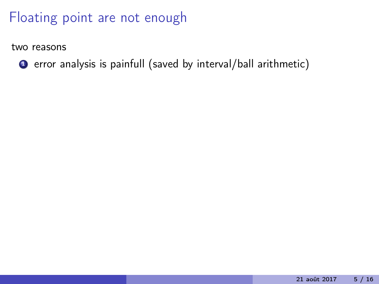two reasons

**1** error analysis is painfull (saved by interval/ball arithmetic)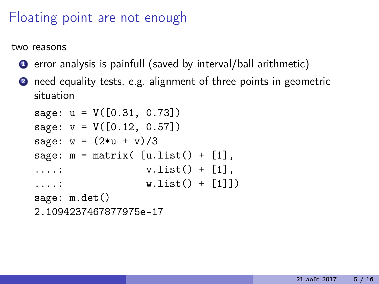two reasons

- **1** error analysis is painfull (saved by interval/ball arithmetic)
- <sup>2</sup> need equality tests, e.g. alignment of three points in geometric situation

```
sage: u = V([0.31, 0.73])
sage: v = V([0.12, 0.57])sage: w = (2*u + v)/3sage: m = matrix([u.list() + [1],\dots: vusub>() + [1],\dots: w.list() + [1]])
sage: m.det()
2.1094237467877975e-17
```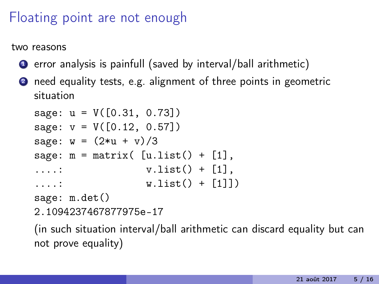two reasons

- **1** error analysis is painfull (saved by interval/ball arithmetic)
- <sup>2</sup> need equality tests, e.g. alignment of three points in geometric situation

```
sage: u = V([0.31, 0.73])
sage: v = V([0.12, 0.57])sage: w = (2*u + v)/3sage: m = matrix([u.list() + [1],\dots: vusub>() + [1],\dots: w.list() + [1]])
sage: m.det()
```

```
2.1094237467877975e-17
```
(in such situation interval/ball arithmetic can discard equality but can not prove equality)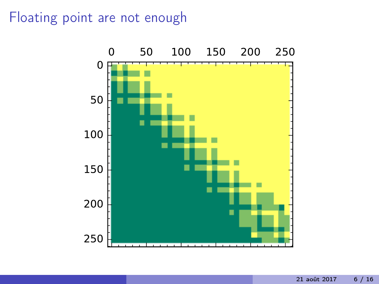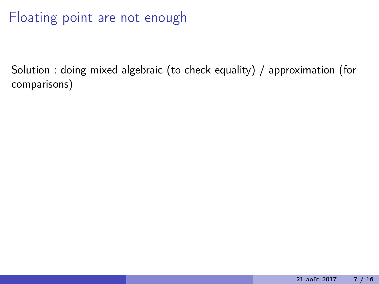Solution : doing mixed algebraic (to check equality) / approximation (for comparisons)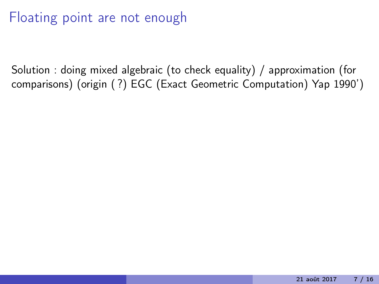Solution : doing mixed algebraic (to check equality) / approximation (for comparisons) (origin ( ?) EGC (Exact Geometric Computation) Yap 1990')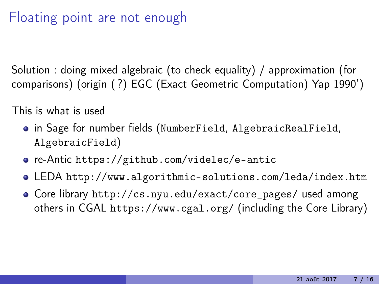Solution : doing mixed algebraic (to check equality) / approximation (for comparisons) (origin ( ?) EGC (Exact Geometric Computation) Yap 1990')

This is what is used

- in Sage for number fields (NumberField, AlgebraicRealField, AlgebraicField)
- re-Antic <https://github.com/videlec/e-antic>
- LEDA <http://www.algorithmic-solutions.com/leda/index.htm>
- Core library [http://cs.nyu.edu/exact/core\\_pages/](http://cs.nyu.edu/exact/core_pages/) used among others in CGAL <https://www.cgal.org/> (including the Core Library)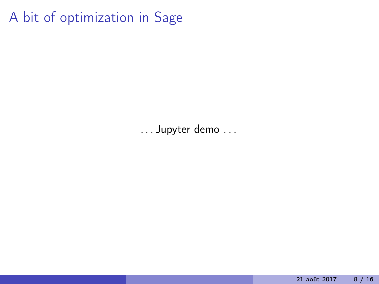A bit of optimization in Sage

. . . Jupyter demo . . .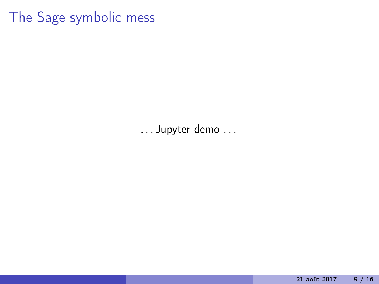#### The Sage symbolic mess

. . . Jupyter demo . . .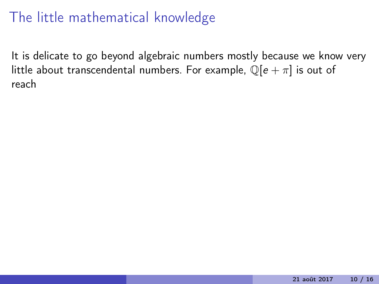It is delicate to go beyond algebraic numbers mostly because we know very little about transcendental numbers. For example,  $\mathbb{Q}[e + \pi]$  is out of reach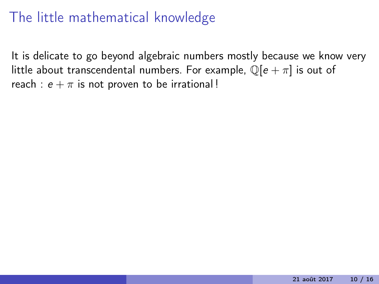It is delicate to go beyond algebraic numbers mostly because we know very little about transcendental numbers. For example,  $\mathbb{Q}[e + \pi]$  is out of reach :  $e + \pi$  is not proven to be irrational!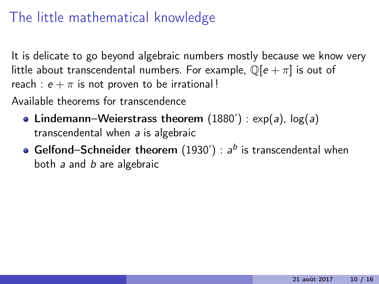It is delicate to go beyond algebraic numbers mostly because we know very little about transcendental numbers. For example,  $\mathbb{Q}[e + \pi]$  is out of reach :  $e + \pi$  is not proven to be irrational!

Available theorems for transcendence

- Lindemann–Weierstrass theorem  $(1880') : exp(a)$ ,  $log(a)$ transcendental when a is algebraic
- Gelfond–Schneider theorem (1930') :  $a^b$  is transcendental when both a and b are algebraic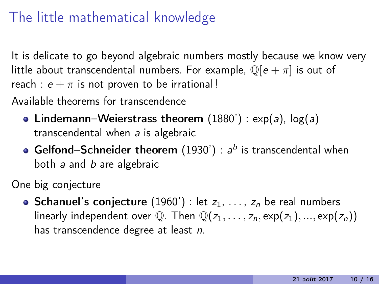It is delicate to go beyond algebraic numbers mostly because we know very little about transcendental numbers. For example,  $\mathbb{Q}[e + \pi]$  is out of reach :  $e + \pi$  is not proven to be irrational!

Available theorems for transcendence

- Lindemann–Weierstrass theorem  $(1880') : exp(a)$ ,  $log(a)$ transcendental when a is algebraic
- Gelfond–Schneider theorem (1930') :  $a^b$  is transcendental when both a and b are algebraic

One big conjecture

• Schanuel's conjecture (1960') : let  $z_1, \ldots, z_n$  be real numbers linearly independent over  $\mathbb{Q}$ . Then  $\mathbb{Q}(z_1,\ldots,z_n,\exp(z_1),\ldots,\exp(z_n))$ has transcendence degree at least n.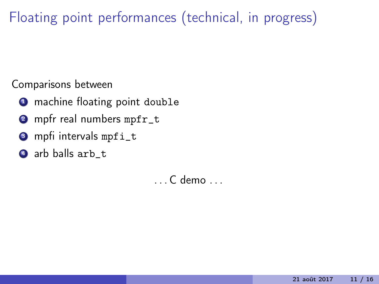Floating point performances (technical, in progress)

Comparisons between

- **1** machine floating point double
- 2 mpfr real numbers mpfr\_t
- **3** mpfi intervals mpfi\_t
- **4** arb balls arb\_t

. . . C demo . . .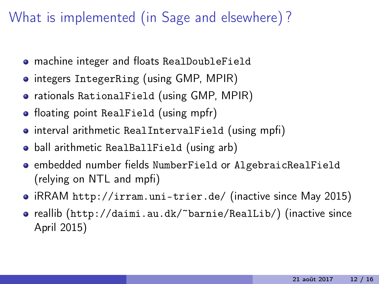## What is implemented (in Sage and elsewhere) ?

- machine integer and floats RealDoubleField
- **·** integers IntegerRing (using GMP, MPIR)
- rationals RationalField (using GMP, MPIR)
- floating point RealField (using mpfr)
- **•** interval arithmetic RealIntervalField (using mpfi)
- **•** ball arithmetic RealBallField (using arb)
- embedded number fields NumberField or AlgebraicRealField (relying on NTL and mpfi)
- iRRAM <http://irram.uni-trier.de/> (inactive since May 2015)
- reallib (<http://daimi.au.dk/~barnie/RealLib/>) (inactive since April 2015)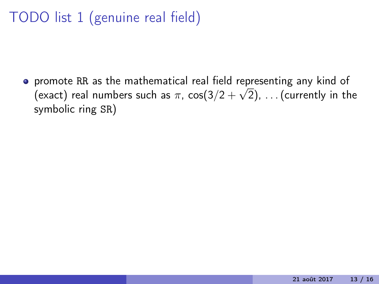## TODO list 1 (genuine real field)

promote RR as the mathematical real field representing any kind of (exact) real numbers such as  $\pi$ , cos(3/2  $+$   $\sqrt{2})$ ,  $\dots$  (currently in the symbolic ring SR)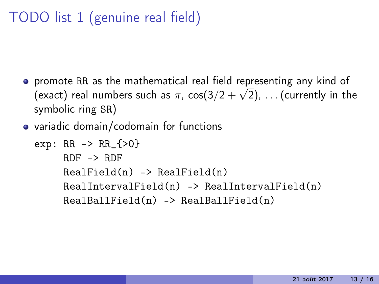## TODO list 1 (genuine real field)

- promote RR as the mathematical real field representing any kind of (exact) real numbers such as  $\pi$ , cos(3/2  $+$   $\sqrt{2})$ ,  $\dots$  (currently in the symbolic ring SR)
- variadic domain/codomain for functions

```
exp: RR -> RR_{>0}
      RDF \rightarrow RDFRealField(n) \rightarrow RealField(n)RealIntervalField(n) \rightarrow RealIntervalField(n)RealBallField(n) \rightarrow RealBallField(n)
```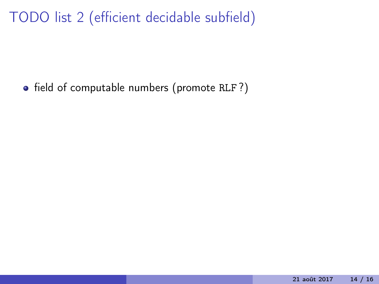• field of computable numbers (promote RLF?)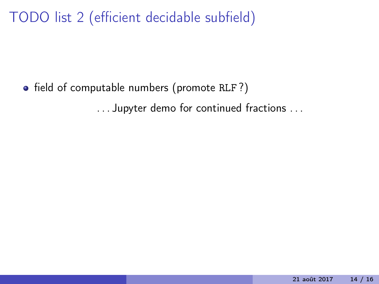• field of computable numbers (promote RLF?) . . . Jupyter demo for continued fractions . . .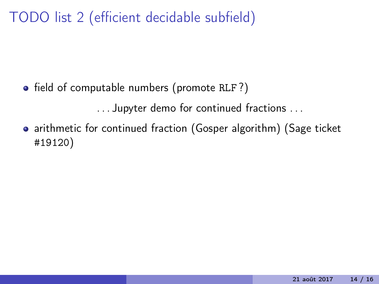• field of computable numbers (promote RLF?)

. . . Jupyter demo for continued fractions . . .

• arithmetic for continued fraction (Gosper algorithm) (Sage ticket #19120)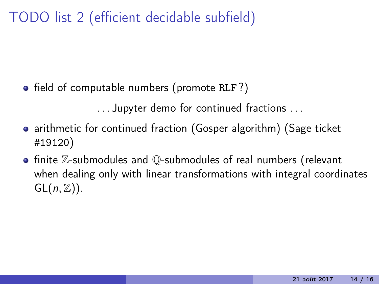• field of computable numbers (promote RLF?)

. . . Jupyter demo for continued fractions . . .

- arithmetic for continued fraction (Gosper algorithm) (Sage ticket #19120)
- **•** finite Z-submodules and Q-submodules of real numbers (relevant when dealing only with linear transformations with integral coordinates  $GL(n, \mathbb{Z})$ ).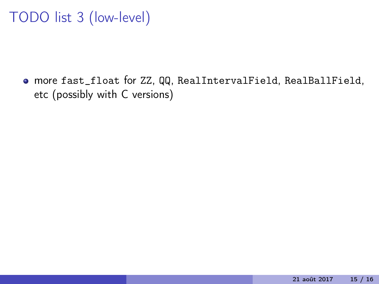## TODO list 3 (low-level)

more fast\_float for ZZ, QQ, RealIntervalField, RealBallField, etc (possibly with C versions)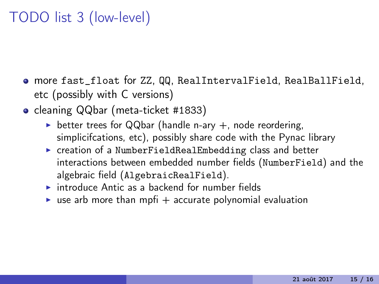## TODO list 3 (low-level)

- more fast\_float for ZZ, QQ, RealIntervalField, RealBallField, etc (possibly with C versions)
- cleaning QQbar (meta-ticket #1833)
	- better trees for QQbar (handle n-ary  $+$ , node reordering, simplicifcations, etc), possibly share code with the Pynac library
	- $\triangleright$  creation of a NumberFieldRealEmbedding class and better interactions between embedded number fields (NumberField) and the algebraic field (AlgebraicRealField).
	- $\triangleright$  introduce Antic as a backend for number fields
	- ighthrournal evaluation  $\mathbf{I}$  is accurate polynomial evaluation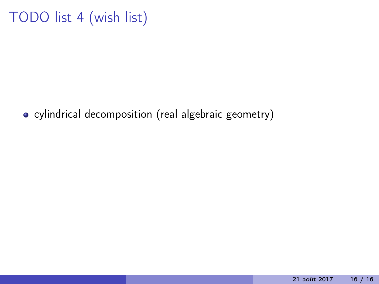## TODO list 4 (wish list)

• cylindrical decomposition (real algebraic geometry)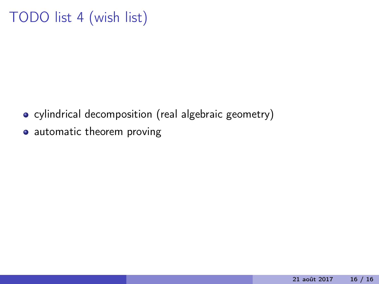## TODO list 4 (wish list)

- cylindrical decomposition (real algebraic geometry)
- automatic theorem proving